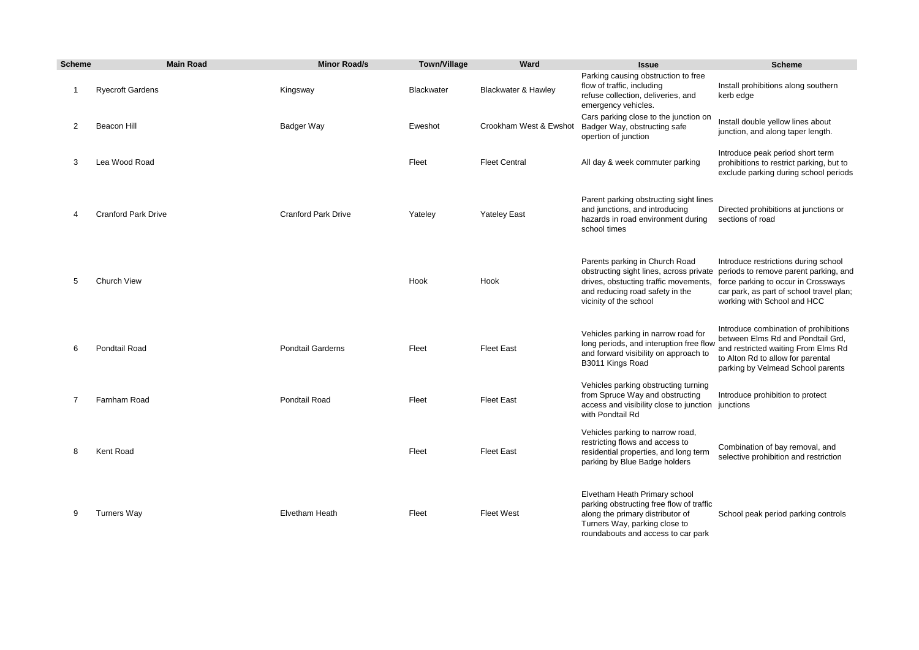| <b>Scheme</b>  | <b>Main Road</b>           | <b>Minor Road/s</b>        | <b>Town/Village</b> | Ward                           | <b>Issue</b>                                                                                                                                                                         | <b>Scheme</b>                                                                                                                                                                                                                           |
|----------------|----------------------------|----------------------------|---------------------|--------------------------------|--------------------------------------------------------------------------------------------------------------------------------------------------------------------------------------|-----------------------------------------------------------------------------------------------------------------------------------------------------------------------------------------------------------------------------------------|
| -1             | <b>Ryecroft Gardens</b>    | Kingsway                   | <b>Blackwater</b>   | <b>Blackwater &amp; Hawley</b> | Parking causing obstruction to free<br>flow of traffic, including<br>refuse collection, deliveries, and<br>emergency vehicles.                                                       | Install prohibitions along southern<br>kerb edge                                                                                                                                                                                        |
| 2              | Beacon Hill                | Badger Way                 | Eweshot             | Crookham West & Ewshot         | Cars parking close to the junction on<br>Badger Way, obstructing safe<br>opertion of junction                                                                                        | Install double yellow lines about<br>junction, and along taper length.                                                                                                                                                                  |
| 3              | Lea Wood Road              |                            | Fleet               | <b>Fleet Central</b>           | All day & week commuter parking                                                                                                                                                      | Introduce peak period short term<br>prohibitions to restrict parking, but to<br>exclude parking during school periods                                                                                                                   |
| 4              | <b>Cranford Park Drive</b> | <b>Cranford Park Drive</b> | Yateley             | <b>Yateley East</b>            | Parent parking obstructing sight lines<br>and junctions, and introducing<br>hazards in road environment during<br>school times                                                       | Directed prohibitions at junctions or<br>sections of road                                                                                                                                                                               |
| 5              | Church View                |                            | Hook                | Hook                           | Parents parking in Church Road<br>drives, obstucting traffic movements,<br>and reducing road safety in the<br>vicinity of the school                                                 | Introduce restrictions during school<br>obstructing sight lines, across private periods to remove parent parking, and<br>force parking to occur in Crossways<br>car park, as part of school travel plan;<br>working with School and HCC |
| 6              | Pondtail Road              | <b>Pondtail Garderns</b>   | Fleet               | <b>Fleet East</b>              | Vehicles parking in narrow road for<br>long periods, and interuption free flow<br>and forward visibility on approach to<br>B3011 Kings Road                                          | Introduce combination of prohibitions<br>between Elms Rd and Pondtail Grd,<br>and restricted waiting From Elms Rd<br>to Alton Rd to allow for parental<br>parking by Velmead School parents                                             |
| $\overline{7}$ | Farnham Road               | <b>Pondtail Road</b>       | Fleet               | <b>Fleet East</b>              | Vehicles parking obstructing turning<br>from Spruce Way and obstructing<br>access and visibility close to junction junctions<br>with Pondtail Rd                                     | Introduce prohibition to protect                                                                                                                                                                                                        |
| 8              | Kent Road                  |                            | Fleet               | <b>Fleet East</b>              | Vehicles parking to narrow road,<br>restricting flows and access to<br>residential properties, and long term<br>parking by Blue Badge holders                                        | Combination of bay removal, and<br>selective prohibition and restriction                                                                                                                                                                |
| 9              | <b>Turners Way</b>         | Elvetham Heath             | Fleet               | <b>Fleet West</b>              | Elvetham Heath Primary school<br>parking obstructing free flow of traffic<br>along the primary distributor of<br>Turners Way, parking close to<br>roundabouts and access to car park | School peak period parking controls                                                                                                                                                                                                     |